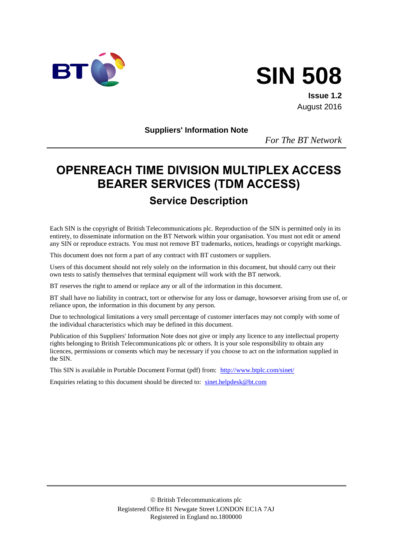



**Issue 1.2** August 2016

**Suppliers' Information Note**

*For The BT Network*

# **OPENREACH TIME DIVISION MULTIPLEX ACCESS BEARER SERVICES (TDM ACCESS)**

## **Service Description**

Each SIN is the copyright of British Telecommunications plc. Reproduction of the SIN is permitted only in its entirety, to disseminate information on the BT Network within your organisation. You must not edit or amend any SIN or reproduce extracts. You must not remove BT trademarks, notices, headings or copyright markings.

This document does not form a part of any contract with BT customers or suppliers.

Users of this document should not rely solely on the information in this document, but should carry out their own tests to satisfy themselves that terminal equipment will work with the BT network.

BT reserves the right to amend or replace any or all of the information in this document.

BT shall have no liability in contract, tort or otherwise for any loss or damage, howsoever arising from use of, or reliance upon, the information in this document by any person.

Due to technological limitations a very small percentage of customer interfaces may not comply with some of the individual characteristics which may be defined in this document.

Publication of this Suppliers' Information Note does not give or imply any licence to any intellectual property rights belonging to British Telecommunications plc or others. It is your sole responsibility to obtain any licences, permissions or consents which may be necessary if you choose to act on the information supplied in the SIN.

This SIN is available in Portable Document Format (pdf) from: <http://www.btplc.com/sinet/>

Enquiries relating to this document should be directed to: sinet.helpdesk@bt.com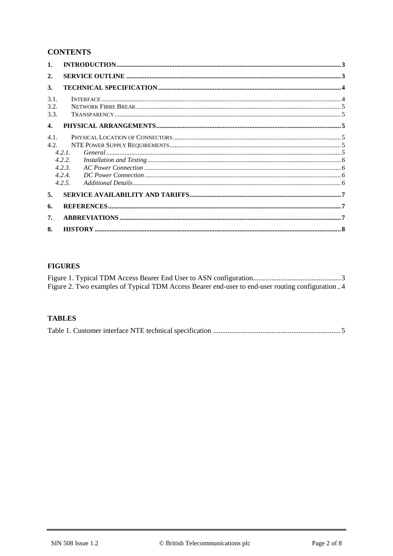## **CONTENTS**

| 1.               |        |  |
|------------------|--------|--|
| 2.               |        |  |
| 3.               |        |  |
| 3.1.             |        |  |
| 3.2.             |        |  |
| 3.3.             |        |  |
| $\overline{4}$ . |        |  |
| 4.1.             |        |  |
| 4.2.             |        |  |
|                  | 4.2.1  |  |
|                  | 4.2.2. |  |
|                  | 4.2.3. |  |
|                  | 4.2.4. |  |
|                  | 4.2.5. |  |
| 5.               |        |  |
| 6.               |        |  |
| 7.               |        |  |
| 8.               |        |  |

#### **FIGURES**

| Figure 2. Two examples of Typical TDM Access Bearer end-user to end-user routing configuration4 |  |
|-------------------------------------------------------------------------------------------------|--|

#### **TABLES**

|--|--|--|--|--|--|--|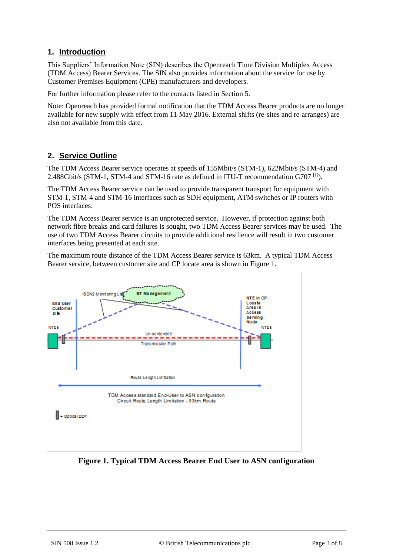### **1. Introduction**

This Suppliers' Information Note (SIN) describes the Openreach Time Division Multiplex Access (TDM Access) Bearer Services. The SIN also provides information about the service for use by Customer Premises Equipment (CPE) manufacturers and developers.

For further information please refer to the contacts listed in Section 5.

Note: Openreach has provided formal notification that the TDM Access Bearer products are no longer available for new supply with effect from 11 May 2016. External shifts (re-sites and re-arranges) are also not available from this date.

## **2. Service Outline**

The TDM Access Bearer service operates at speeds of 155Mbit/s (STM-1), 622Mbit/s (STM-4) and 2.488Gbit/s (STM-1, STM-4 and STM-16 rate as defined in ITU-T recommendation G707<sup>[\[1\]](#page-6-0)</sup>).

The TDM Access Bearer service can be used to provide transparent transport for equipment with STM-1, STM-4 and STM-16 interfaces such as SDH equipment, ATM switches or IP routers with POS interfaces.

The TDM Access Bearer service is an unprotected service. However, if protection against both network fibre breaks and card failures is sought, two TDM Access Bearer services may be used. The use of two TDM Access Bearer circuits to provide additional resilience will result in two customer interfaces being presented at each site.

The maximum route distance of the TDM Access Bearer service is 63km. A typical TDM Access Bearer service, between customer site and CP locate area is shown in [Figure 1.](#page-2-0)



## <span id="page-2-0"></span>**Figure 1. Typical TDM Access Bearer End User to ASN configuration**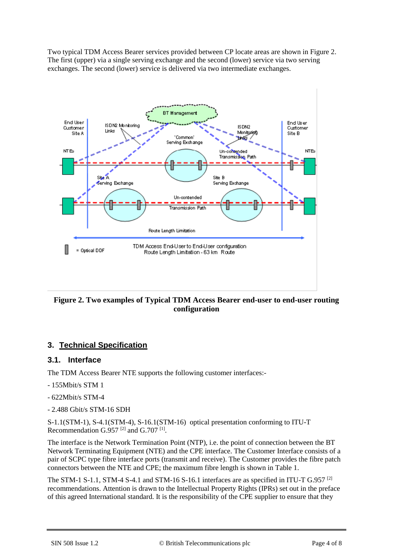Two typical TDM Access Bearer services provided between CP locate areas are shown i[n Figure 2.](#page-3-0) The first (upper) via a single serving exchange and the second (lower) service via two serving exchanges. The second (lower) service is delivered via two intermediate exchanges.



#### <span id="page-3-0"></span>**Figure 2. Two examples of Typical TDM Access Bearer end-user to end-user routing configuration**

## **3. Technical Specification**

#### **3.1. Interface**

The TDM Access Bearer NTE supports the following customer interfaces:-

- 155Mbit/s STM 1
- 622Mbit/s STM-4
- 2.488 Gbit/s STM-16 SDH

S-1.1(STM-1), S-4.1(STM-4), S-16.1(STM-16) optical presentation conforming to ITU-T Recommendation G.957<sup>[\[2\]](#page-6-1)</sup> and G.707<sup>[\[1\]](#page-6-0)</sup>.

The interface is the Network Termination Point (NTP), i.e. the point of connection between the BT Network Terminating Equipment (NTE) and the CPE interface. The Customer Interface consists of a pair of SCPC type fibre interface ports (transmit and receive). The Customer provides the fibre patch connectors between the NTE and CPE; the maximum fibre length is shown in [Table 1.](#page-4-0)

The STM-1 S-1.1, STM-4 S-4.1 and STM-16 S-16.1 interfaces are as specified in ITU-T G.957<sup>[\[2\]](#page-6-1)</sup> recommendations. Attention is drawn to the Intellectual Property Rights (IPRs) set out in the preface of this agreed International standard. It is the responsibility of the CPE supplier to ensure that they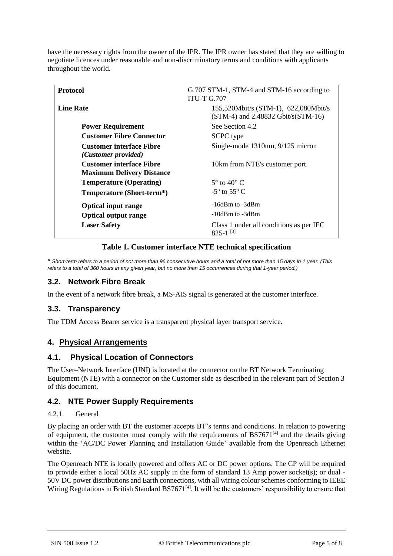have the necessary rights from the owner of the IPR. The IPR owner has stated that they are willing to negotiate licences under reasonable and non-discriminatory terms and conditions with applicants throughout the world.

| <b>Protocol</b>                                                     | G.707 STM-1, STM-4 and STM-16 according to<br><b>ITU-T G.707</b>                |
|---------------------------------------------------------------------|---------------------------------------------------------------------------------|
| <b>Line Rate</b>                                                    | 155,520Mbit/s (STM-1), 622,080Mbit/s<br>$(STM-4)$ and 2.48832 Gbit/s $(STM-16)$ |
| <b>Power Requirement</b>                                            | See Section 4.2                                                                 |
| <b>Customer Fibre Connector</b>                                     | <b>SCPC</b> type                                                                |
| <b>Customer interface Fibre</b><br>(Customer provided)              | Single-mode 1310nm, 9/125 micron                                                |
| <b>Customer interface Fibre</b><br><b>Maximum Delivery Distance</b> | 10km from NTE's customer port.                                                  |
| <b>Temperature (Operating)</b>                                      | $5^\circ$ to $40^\circ$ C                                                       |
| Temperature (Short-term*)                                           | $-5^{\circ}$ to $55^{\circ}$ C                                                  |
| <b>Optical input range</b>                                          | $-16$ dBm to $-3$ dBm                                                           |
| <b>Optical output range</b>                                         | $-10$ dBm to $-3$ dBm                                                           |
| <b>Laser Safety</b>                                                 | Class 1 under all conditions as per IEC<br>$825 - 1$ <sup>[3]</sup>             |

#### **Table 1. Customer interface NTE technical specification**

<span id="page-4-0"></span>*\* Short-term refers to a period of not more than 96 consecutive hours and a total of not more than 15 days in 1 year. (This refers to a total of 360 hours in any given year, but no more than 15 occurrences during that 1-year period.)*

### **3.2. Network Fibre Break**

In the event of a network fibre break, a MS-AIS signal is generated at the customer interface.

#### **3.3. Transparency**

The TDM Access Bearer service is a transparent physical layer transport service.

#### **4. Physical Arrangements**

#### **4.1. Physical Location of Connectors**

The User–Network Interface (UNI) is located at the connector on the BT Network Terminating Equipment (NTE) with a connector on the Customer side as described in the relevant part of Section 3 of this document.

#### **4.2. NTE Power Supply Requirements**

#### 4.2.1. General

By placing an order with BT the customer accepts BT's terms and conditions. In relation to powering of equipment, the customer must comply with the requirements of  $BS7671^{[4]}$  and the details giving within the 'AC/DC Power Planning and Installation Guide' available from the Openreach Ethernet website.

The Openreach NTE is locally powered and offers AC or DC power options. The CP will be required to provide either a local 50Hz AC supply in the form of standard 13 Amp power socket(s); or dual -50V DC power distributions and Earth connections, with all wiring colour schemes conforming to IEEE Wiring Regulations in British Standard  $BS7671^{[4]}$ . It will be the customers' responsibility to ensure that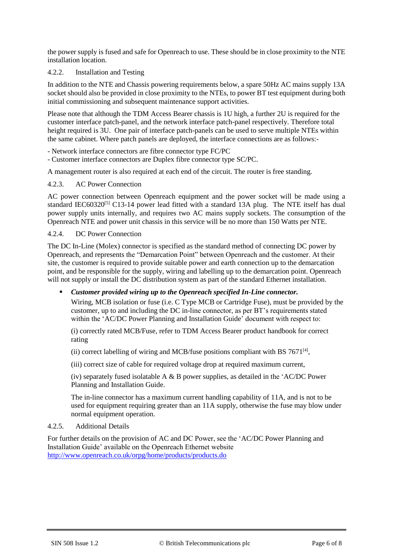the power supply is fused and safe for Openreach to use. These should be in close proximity to the NTE installation location.

#### 4.2.2. Installation and Testing

In addition to the NTE and Chassis powering requirements below, a spare 50Hz AC mains supply 13A socket should also be provided in close proximity to the NTEs, to power BT test equipment during both initial commissioning and subsequent maintenance support activities.

Please note that although the TDM Access Bearer chassis is 1U high, a further 2U is required for the customer interface patch-panel, and the network interface patch-panel respectively. Therefore total height required is 3U. One pair of interface patch-panels can be used to serve multiple NTEs within the same cabinet. Where patch panels are deployed, the interface connections are as follows:-

- Network interface connectors are fibre connector type FC/PC

- Customer interface connectors are Duplex fibre connector type SC/PC.

A management router is also required at each end of the circuit. The router is free standing.

#### 4.2.3. AC Power Connection

AC power connection between Openreach equipment and the power socket will be made using a standard IEC60320<sup>[5]</sup> C13-14 power lead fitted with a standard 13A plug. The NTE itself has dual power supply units internally, and requires two AC mains supply sockets. The consumption of the Openreach NTE and power unit chassis in this service will be no more than 150 Watts per NTE.

#### 4.2.4. DC Power Connection

The DC In-Line (Molex) connector is specified as the standard method of connecting DC power by Openreach, and represents the "Demarcation Point" between Openreach and the customer. At their site, the customer is required to provide suitable power and earth connection up to the demarcation point, and be responsible for the supply, wiring and labelling up to the demarcation point. Openreach will not supply or install the DC distribution system as part of the standard Ethernet installation.

#### *Customer provided wiring up to the Openreach specified In-Line connector.*

Wiring, MCB isolation or fuse (i.e. C Type MCB or Cartridge Fuse), must be provided by the customer, up to and including the DC in-line connector, as per BT's requirements stated within the 'AC/DC Power Planning and Installation Guide' document with respect to:

(i) correctly rated MCB/Fuse, refer to TDM Access Bearer product handbook for correct rating

(ii) correct labelling of wiring and MCB/fuse positions compliant with BS  $7671^{[4]}$ ,

(iii) correct size of cable for required voltage drop at required maximum current,

(iv) separately fused isolatable A  $\&$  B power supplies, as detailed in the 'AC/DC Power Planning and Installation Guide.

The in-line connector has a maximum current handling capability of 11A, and is not to be used for equipment requiring greater than an 11A supply, otherwise the fuse may blow under normal equipment operation.

#### 4.2.5. Additional Details

For further details on the provision of AC and DC Power, see the 'AC/DC Power Planning and Installation Guide' available on the Openreach Ethernet website <http://www.openreach.co.uk/orpg/home/products/products.do>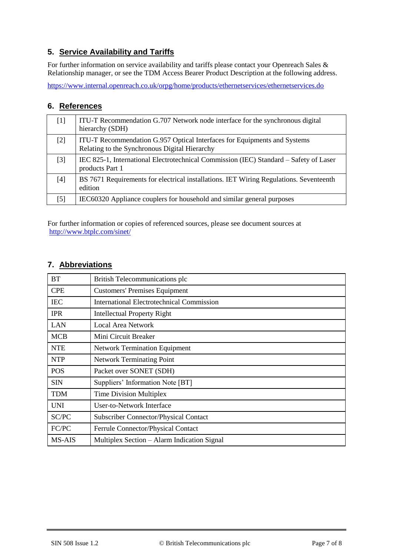## **5. Service Availability and Tariffs**

For further information on service availability and tariffs please contact your Openreach Sales & Relationship manager, or see the TDM Access Bearer Product Description at the following address.

<https://www.internal.openreach.co.uk/orpg/home/products/ethernetservices/ethernetservices.do>

#### **6. References**

<span id="page-6-2"></span><span id="page-6-1"></span><span id="page-6-0"></span>

| 1                | ITU-T Recommendation G.707 Network node interface for the synchronous digital<br>hierarchy (SDH)                          |
|------------------|---------------------------------------------------------------------------------------------------------------------------|
| $[2]$            | ITU-T Recommendation G.957 Optical Interfaces for Equipments and Systems<br>Relating to the Synchronous Digital Hierarchy |
| $[3]$            | IEC 825-1, International Electrotechnical Commission (IEC) Standard – Safety of Laser<br>products Part 1                  |
| [4]              | BS 7671 Requirements for electrical installations. IET Wiring Regulations. Seventeenth<br>edition                         |
| $\left[5\right]$ | IEC60320 Appliance couplers for household and similar general purposes                                                    |

For further information or copies of referenced sources, please see document sources at <http://www.btplc.com/sinet/>

## **7. Abbreviations**

| <b>BT</b>  | British Telecommunications plc                   |
|------------|--------------------------------------------------|
| <b>CPE</b> | <b>Customers' Premises Equipment</b>             |
| <b>IEC</b> | <b>International Electrotechnical Commission</b> |
| <b>IPR</b> | <b>Intellectual Property Right</b>               |
| LAN        | <b>Local Area Network</b>                        |
| <b>MCB</b> | Mini Circuit Breaker                             |
| <b>NTE</b> | <b>Network Termination Equipment</b>             |
| <b>NTP</b> | <b>Network Terminating Point</b>                 |
| <b>POS</b> | Packet over SONET (SDH)                          |
| <b>SIN</b> | Suppliers' Information Note [BT]                 |
| <b>TDM</b> | <b>Time Division Multiplex</b>                   |
| <b>UNI</b> | User-to-Network Interface                        |
| SC/PC      | <b>Subscriber Connector/Physical Contact</b>     |
| FC/PC      | Ferrule Connector/Physical Contact               |
| MS-AIS     | Multiplex Section – Alarm Indication Signal      |